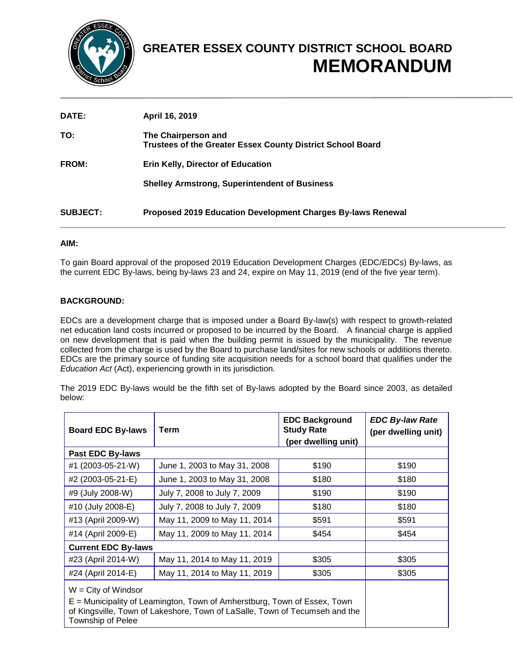

# **GREATER ESSEX COUNTY DISTRICT SCHOOL BOARD MEMORANDUM**

| DATE:           | April 16, 2019                                                                           |
|-----------------|------------------------------------------------------------------------------------------|
| TO:             | The Chairperson and<br><b>Trustees of the Greater Essex County District School Board</b> |
| FROM:           | <b>Erin Kelly, Director of Education</b>                                                 |
|                 | <b>Shelley Armstrong, Superintendent of Business</b>                                     |
| <b>SUBJECT:</b> | Proposed 2019 Education Development Charges By-laws Renewal                              |

### **AIM:**

To gain Board approval of the proposed 2019 Education Development Charges (EDC/EDCs) By-laws, as the current EDC By-laws, being by-laws 23 and 24, expire on May 11, 2019 (end of the five year term).

## **BACKGROUND:**

EDCs are a development charge that is imposed under a Board By-law(s) with respect to growth-related net education land costs incurred or proposed to be incurred by the Board. A financial charge is applied on new development that is paid when the building permit is issued by the municipality. The revenue collected from the charge is used by the Board to purchase land/sites for new schools or additions thereto. EDCs are the primary source of funding site acquisition needs for a school board that qualifies under the *Education Act* (Act), experiencing growth in its jurisdiction.

The 2019 EDC By-laws would be the fifth set of By-laws adopted by the Board since 2003, as detailed below:

| <b>Board EDC By-laws</b>                                                                                                                                                                                    | Term                                  | <b>EDC Background</b><br><b>Study Rate</b><br>(per dwelling unit) | <b>EDC By-law Rate</b><br>(per dwelling unit) |  |
|-------------------------------------------------------------------------------------------------------------------------------------------------------------------------------------------------------------|---------------------------------------|-------------------------------------------------------------------|-----------------------------------------------|--|
| Past EDC By-laws                                                                                                                                                                                            |                                       |                                                                   |                                               |  |
| #1 (2003-05-21-W)                                                                                                                                                                                           | \$190<br>June 1, 2003 to May 31, 2008 |                                                                   | \$190                                         |  |
| #2 (2003-05-21-E)                                                                                                                                                                                           | June 1, 2003 to May 31, 2008          | \$180                                                             |                                               |  |
| #9 (July 2008-W)                                                                                                                                                                                            | July 7, 2008 to July 7, 2009          | \$190                                                             |                                               |  |
| #10 (July 2008-E)                                                                                                                                                                                           | July 7, 2008 to July 7, 2009          | \$180                                                             |                                               |  |
| #13 (April 2009-W)                                                                                                                                                                                          | May 11, 2009 to May 11, 2014          | \$591                                                             | \$591                                         |  |
| #14 (April 2009-E)                                                                                                                                                                                          | May 11, 2009 to May 11, 2014<br>\$454 |                                                                   | \$454                                         |  |
| <b>Current EDC By-laws</b>                                                                                                                                                                                  |                                       |                                                                   |                                               |  |
| #23 (April 2014-W)                                                                                                                                                                                          | May 11, 2014 to May 11, 2019          | \$305                                                             | \$305                                         |  |
| #24 (April 2014-E)                                                                                                                                                                                          | May 11, 2014 to May 11, 2019          | \$305                                                             | \$305                                         |  |
| $W = City of Window$<br>E = Municipality of Leamington, Town of Amherstburg, Town of Essex, Town<br>of Kingsville, Town of Lakeshore, Town of LaSalle, Town of Tecumseh and the<br><b>Township of Pelee</b> |                                       |                                                                   |                                               |  |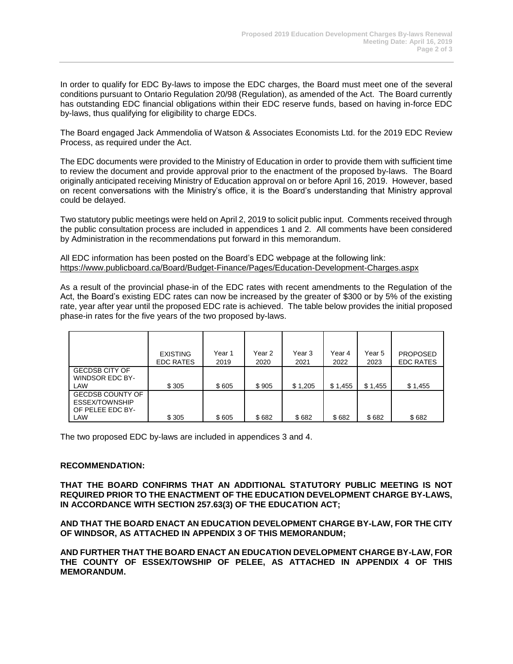In order to qualify for EDC By-laws to impose the EDC charges, the Board must meet one of the several conditions pursuant to Ontario Regulation 20/98 (Regulation), as amended of the Act. The Board currently has outstanding EDC financial obligations within their EDC reserve funds, based on having in-force EDC by-laws, thus qualifying for eligibility to charge EDCs.

The Board engaged Jack Ammendolia of Watson & Associates Economists Ltd. for the 2019 EDC Review Process, as required under the Act.

The EDC documents were provided to the Ministry of Education in order to provide them with sufficient time to review the document and provide approval prior to the enactment of the proposed by-laws. The Board originally anticipated receiving Ministry of Education approval on or before April 16, 2019. However, based on recent conversations with the Ministry's office, it is the Board's understanding that Ministry approval could be delayed.

Two statutory public meetings were held on April 2, 2019 to solicit public input. Comments received through the public consultation process are included in appendices 1 and 2. All comments have been considered by Administration in the recommendations put forward in this memorandum.

All EDC information has been posted on the Board's EDC webpage at the following link: <https://www.publicboard.ca/Board/Budget-Finance/Pages/Education-Development-Charges.aspx>

As a result of the provincial phase-in of the EDC rates with recent amendments to the Regulation of the Act, the Board's existing EDC rates can now be increased by the greater of \$300 or by 5% of the existing rate, year after year until the proposed EDC rate is achieved. The table below provides the initial proposed phase-in rates for the five years of the two proposed by-laws.

|                                                                             | <b>EXISTING</b><br><b>EDC RATES</b> | Year 1<br>2019 | Year 2<br>2020 | Year 3<br>2021 | Year 4<br>2022 | Year 5<br>2023 | <b>PROPOSED</b><br><b>EDC RATES</b> |
|-----------------------------------------------------------------------------|-------------------------------------|----------------|----------------|----------------|----------------|----------------|-------------------------------------|
| <b>GECDSB CITY OF</b><br><b>WINDSOR EDC BY-</b><br>LAW                      | \$305                               | \$605          | \$905          | \$1,205        | \$1,455        | \$1,455        | \$1,455                             |
| <b>GECDSB COUNTY OF</b><br><b>ESSEX/TOWNSHIP</b><br>OF PELEE EDC BY-<br>LAW | \$305                               | \$605          | \$682          | \$682          | \$682          | \$682          | \$682                               |

The two proposed EDC by-laws are included in appendices 3 and 4.

### **RECOMMENDATION:**

**THAT THE BOARD CONFIRMS THAT AN ADDITIONAL STATUTORY PUBLIC MEETING IS NOT REQUIRED PRIOR TO THE ENACTMENT OF THE EDUCATION DEVELOPMENT CHARGE BY-LAWS, IN ACCORDANCE WITH SECTION 257.63(3) OF THE EDUCATION ACT;**

**AND THAT THE BOARD ENACT AN EDUCATION DEVELOPMENT CHARGE BY-LAW, FOR THE CITY OF WINDSOR, AS ATTACHED IN APPENDIX 3 OF THIS MEMORANDUM;**

**AND FURTHER THAT THE BOARD ENACT AN EDUCATION DEVELOPMENT CHARGE BY-LAW, FOR THE COUNTY OF ESSEX/TOWSHIP OF PELEE, AS ATTACHED IN APPENDIX 4 OF THIS MEMORANDUM.**